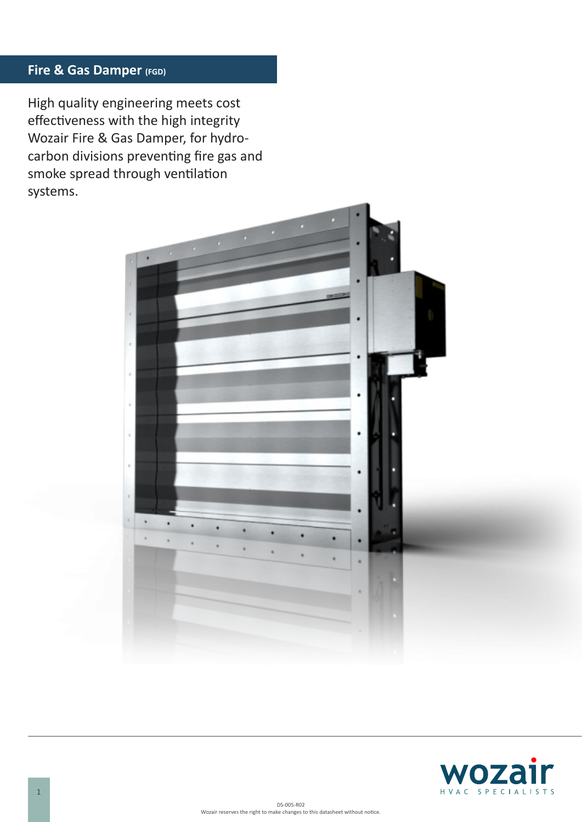# **Fire & Gas Damper (FGD)**

High quality engineering meets cost effectiveness with the high integrity Wozair Fire & Gas Damper, for hydrocarbon divisions preventing fire gas and smoke spread through ventilation systems.



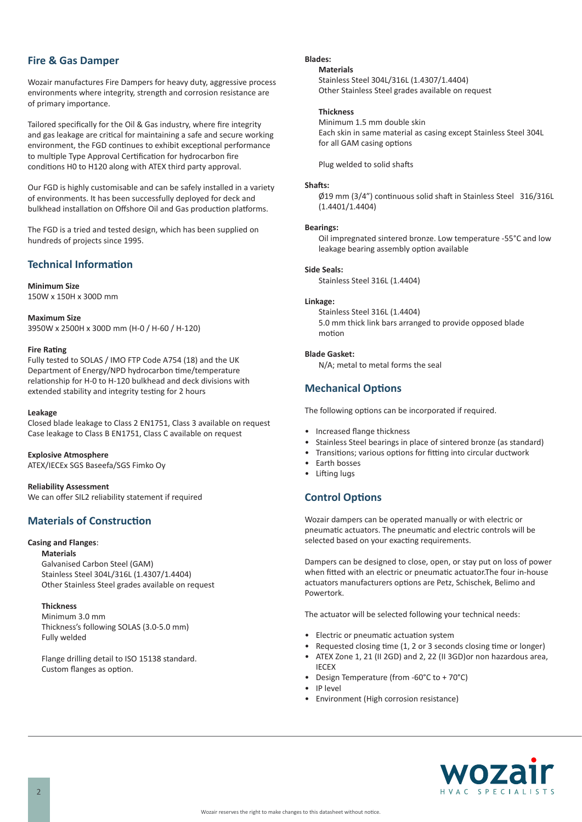### **Fire & Gas Damper**

Wozair manufactures Fire Dampers for heavy duty, aggressive process environments where integrity, strength and corrosion resistance are of primary importance.

Tailored specifically for the Oil & Gas industry, where fire integrity and gas leakage are critical for maintaining a safe and secure working environment, the FGD continues to exhibit exceptional performance to multiple Type Approval Certification for hydrocarbon fire conditions H0 to H120 along with ATEX third party approval.

Our FGD is highly customisable and can be safely installed in a variety of environments. It has been successfully deployed for deck and bulkhead installation on Offshore Oil and Gas production platforms.

The FGD is a tried and tested design, which has been supplied on hundreds of projects since 1995.

# **Technical Information**

**Minimum Size**  150W x 150H x 300D mm

**Maximum Size** 3950W x 2500H x 300D mm (H-0 / H-60 / H-120)

#### **Fire Rating**

Fully tested to SOLAS / IMO FTP Code A754 (18) and the UK Department of Energy/NPD hydrocarbon time/temperature relationship for H-0 to H-120 bulkhead and deck divisions with extended stability and integrity testing for 2 hours

#### **Leakage**

Closed blade leakage to Class 2 EN1751, Class 3 available on request Case leakage to Class B EN1751, Class C available on request

#### **Explosive Atmosphere**

ATEX/IECEx SGS Baseefa/SGS Fimko Oy

#### **Reliability Assessment**

We can offer SIL2 reliability statement if required

### **Materials of Construction**

#### **Casing and Flanges**:

**Materials** Galvanised Carbon Steel (GAM) Stainless Steel 304L/316L (1.4307/1.4404)

Other Stainless Steel grades available on request

#### **Thickness**

Minimum 3.0 mm Thickness's following SOLAS (3.0-5.0 mm) Fully welded

Flange drilling detail to ISO 15138 standard. Custom flanges as option.

### **Blades:**

#### **Materials**

Stainless Steel 304L/316L (1.4307/1.4404) Other Stainless Steel grades available on request

#### **Thickness**

Minimum 1.5 mm double skin Each skin in same material as casing except Stainless Steel 304L for all GAM casing options

Plug welded to solid shafts

#### **Shafts:**

Ø19 mm (3/4") continuous solid shaft in Stainless Steel 316/316L (1.4401/1.4404)

#### **Bearings:**

Oil impregnated sintered bronze. Low temperature -55°C and low leakage bearing assembly option available

#### **Side Seals:**

Stainless Steel 316L (1.4404)

#### **Linkage:**

Stainless Steel 316L (1.4404) 5.0 mm thick link bars arranged to provide opposed blade motion

#### **Blade Gasket:**

N/A; metal to metal forms the seal

### **Mechanical Options**

The following options can be incorporated if required.

- Increased flange thickness
- Stainless Steel bearings in place of sintered bronze (as standard)
- Transitions; various options for fitting into circular ductwork
- Earth bosses
- Lifting lugs

### **Control Options**

Wozair dampers can be operated manually or with electric or pneumatic actuators. The pneumatic and electric controls will be selected based on your exacting requirements.

Dampers can be designed to close, open, or stay put on loss of power when fitted with an electric or pneumatic actuator.The four in-house actuators manufacturers options are Petz, Schischek, Belimo and Powertork.

The actuator will be selected following your technical needs:

- Electric or pneumatic actuation system
- Requested closing time (1, 2 or 3 seconds closing time or longer)
- ATEX Zone 1, 21 (II 2GD) and 2, 22 (II 3GD)or non hazardous area, IECEX
- Design Temperature (from -60°C to + 70°C)
- IP level
- Environment (High corrosion resistance)

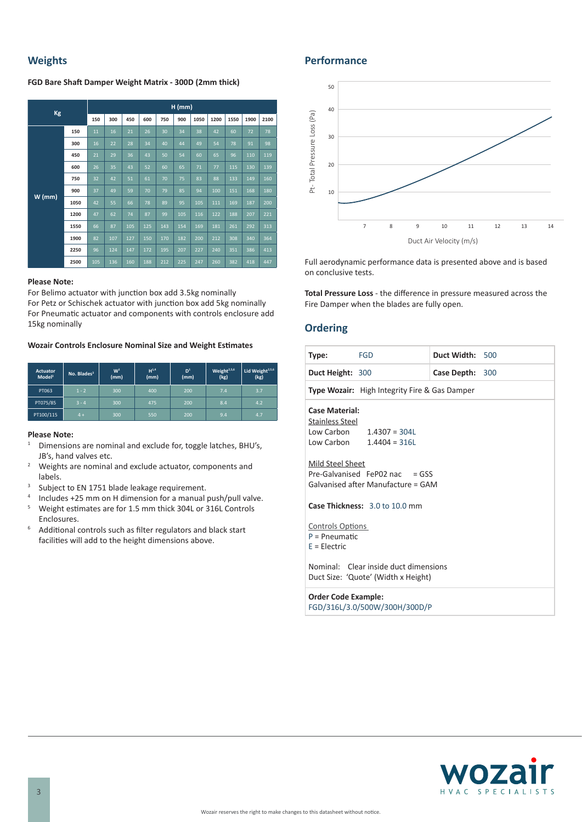# **Weights**

**FGD Bare Shaft Damper Weight Matrix - 300D (2mm thick)**

| Kg       |      | $H$ (mm) |     |     |     |     |     |      |      |      |      |      |
|----------|------|----------|-----|-----|-----|-----|-----|------|------|------|------|------|
|          |      | 150      | 300 | 450 | 600 | 750 | 900 | 1050 | 1200 | 1550 | 1900 | 2100 |
| $W$ (mm) | 150  | 11       | 16  | 21  | 26  | 30  | 34  | 38   | 42   | 60   | 72   | 78   |
|          | 300  | 16       | 22  | 28  | 34  | 40  | 44  | 49   | 54   | 78   | 91   | 98   |
|          | 450  | 21       | 29  | 36  | 43  | 50  | 54  | 60   | 65   | 96   | 110  | 119  |
|          | 600  | 26       | 35  | 43  | 52  | 60  | 65  | 71   | 77   | 115  | 130  | 139  |
|          | 750  | 32       | 42  | 51  | 61  | 70  | 75  | 83   | 88   | 133  | 149  | 160  |
|          | 900  | 37       | 49  | 59  | 70  | 79  | 85  | 94   | 100  | 151  | 168  | 180  |
|          | 1050 | 42       | 55  | 66  | 78  | 89  | 95  | 105  | 111  | 169  | 187  | 200  |
|          | 1200 | 47       | 62  | 74  | 87  | 99  | 105 | 116  | 122  | 188  | 207  | 221  |
|          | 1550 | 66       | 87  | 105 | 125 | 143 | 154 | 169  | 181  | 261  | 292  | 313  |
|          | 1900 | 82       | 107 | 127 | 150 | 170 | 182 | 200  | 212  | 308  | 340  | 364  |
|          | 2250 | 96       | 124 | 147 | 172 | 195 | 207 | 227  | 240  | 351  | 386  | 413  |
|          | 2500 | 105      | 136 | 160 | 188 | 212 | 225 | 247  | 260  | 382  | 418  | 447  |

#### **Please Note:**

For Belimo actuator with junction box add 3.5kg nominally For Petz or Schischek actuator with junction box add 5kg nominally For Pneumatic actuator and components with controls enclosure add 15kg nominally

**Wozair Controls Enclosure Nominal Size and Weight Estimates**

| <b>Actuator</b><br>Model <sup>3</sup> | No. Blades <sup>3</sup> | W <sup>1</sup><br>(mm) | $H^{1,4}$<br>(mm) | D <sup>1</sup><br>(mm) | Weight <sup>2,5,6</sup><br>(kg) | Lid Weight <sup>2,5,6</sup><br>(kg) |
|---------------------------------------|-------------------------|------------------------|-------------------|------------------------|---------------------------------|-------------------------------------|
| PT063                                 | $1 - 2$                 | 300                    | 400               | 200                    | 7.4                             | 3.7                                 |
| PT075/85                              | $3 - 4$                 | 300                    | 475               | 200                    | 8.4                             | 4.2                                 |
| PT100/115                             | $4 +$                   | 300                    | 550               | 200                    | 9.4                             | 4.7                                 |

#### **Please Note:**

- Dimensions are nominal and exclude for, toggle latches, BHU's, JB's, hand valves etc.
- <sup>2</sup> Weights are nominal and exclude actuator, components and labels.
- <sup>3</sup> Subject to EN 1751 blade leakage requirement.
- <sup>4</sup> Includes +25 mm on H dimension for a manual push/pull valve.<br><sup>5</sup> Weight estimates are for 1.5 mm thick 304L or 316L Controls
- <sup>5</sup> Weight estimates are for 1.5 mm thick 304L or 316L Controls Enclosures.
- <sup>6</sup> Additional controls such as filter regulators and black start facilities will add to the height dimensions above.

### **Performance**



Full aerodynamic performance data is presented above and is based on conclusive tests.

**Total Pressure Loss** - the difference in pressure measured across the Fire Damper when the blades are fully open.

### **Ordering**

| <b>FGD</b><br>Type:                                                                                  | Duct Width: 500 |  |  |  |  |  |
|------------------------------------------------------------------------------------------------------|-----------------|--|--|--|--|--|
| Duct Height: 300                                                                                     | Case Depth: 300 |  |  |  |  |  |
| <b>Type Wozair:</b> High Integrity Fire & Gas Damper                                                 |                 |  |  |  |  |  |
| <b>Case Material:</b><br>Stainless Steel<br>Low Carbon $1.4307 = 304L$<br>Low Carbon $1.4404 = 316L$ |                 |  |  |  |  |  |
| Mild Steel Sheet<br>Pre-Galvanised FeP02 nac $=$ GSS<br>Galvanised after Manufacture = GAM           |                 |  |  |  |  |  |
| Case Thickness: 3.0 to 10.0 mm                                                                       |                 |  |  |  |  |  |
| <b>Controls Options</b><br>$P = P$ neumatic<br>$E = Electric$                                        |                 |  |  |  |  |  |
| Nominal: Clear inside duct dimensions<br>Duct Size: 'Quote' (Width x Height)                         |                 |  |  |  |  |  |
| <b>Order Code Example:</b><br>FGD/316L/3.0/500W/300H/300D/P                                          |                 |  |  |  |  |  |

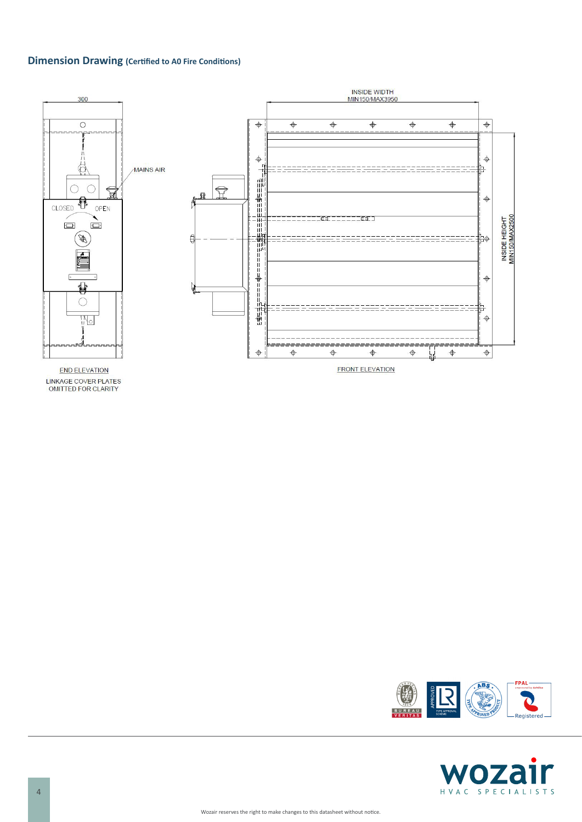# **Dimension Drawing (Certified to A0 Fire Conditions)**



LINKAGE COVER PLATES<br>OMITTED FOR CLARITY